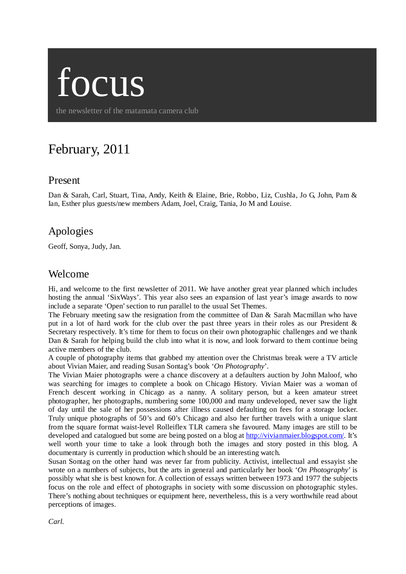

the newsletter of the matamata camera club

# February, 2011

#### Present

Dan & Sarah, Carl, Stuart, Tina, Andy, Keith & Elaine, Brie, Robbo, Liz, Cushla, Jo G, John, Pam & Ian, Esther plus guests/new members Adam, Joel, Craig, Tania, Jo M and Louise.

# Apologies

Geoff, Sonya, Judy, Jan.

#### Welcome

Hi, and welcome to the first newsletter of 2011. We have another great year planned which includes hosting the annual 'SixWays'. This year also sees an expansion of last year's image awards to now include a separate 'Open' section to run parallel to the usual Set Themes.

The February meeting saw the resignation from the committee of Dan & Sarah Macmillan who have put in a lot of hard work for the club over the past three years in their roles as our President & Secretary respectively. It's time for them to focus on their own photographic challenges and we thank Dan  $\&$  Sarah for helping build the club into what it is now, and look forward to them continue being active members of the club.

A couple of photography items that grabbed my attention over the Christmas break were a TV article about Vivian Maier, and reading Susan Sontag's book '*On Photography*'.

The Vivian Maier photographs were a chance discovery at a defaulters auction by John Maloof, who was searching for images to complete a book on Chicago History. Vivian Maier was a woman of French descent working in Chicago as a nanny. A solitary person, but a keen amateur street photographer, her photographs, numbering some 100,000 and many undeveloped, never saw the light of day until the sale of her possessions after illness caused defaulting on fees for a storage locker. Truly unique photographs of 50's and 60's Chicago and also her further travels with a unique slant from the square format waist-level Rolleiflex TLR camera she favoured. Many images are still to be developed and catalogued but some are being posted on a blog at [http://vivianmaier.blogspot.com/.](http://vivianmaier.blogspot.com/) It's well worth your time to take a look through both the images and story posted in this blog. A documentary is currently in production which should be an interesting watch.

Susan Sontag on the other hand was never far from publicity. Activist, intellectual and essayist she wrote on a numbers of subjects, but the arts in general and particularly her book '*On Photography*' is possibly what she is best known for. A collection of essays written between 1973 and 1977 the subjects focus on the role and effect of photographs in society with some discussion on photographic styles. There's nothing about techniques or equipment here, nevertheless, this is a very worthwhile read about perceptions of images.

*Carl.*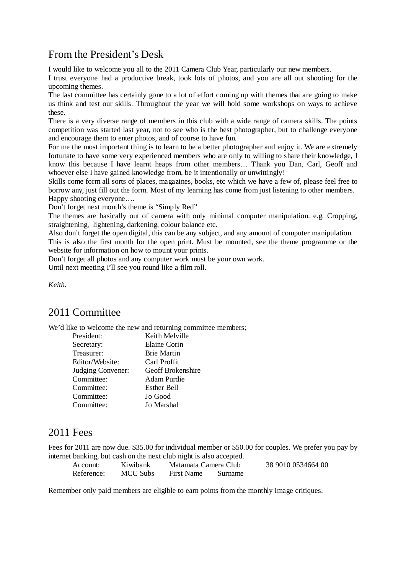# From the President's Desk

I would like to welcome you all to the 2011 Camera Club Year, particularly our new members.

I trust everyone had a productive break, took lots of photos, and you are all out shooting for the upcoming themes.

The last committee has certainly gone to a lot of effort coming up with themes that are going to make us think and test our skills. Throughout the year we will hold some workshops on ways to achieve these.

There is a very diverse range of members in this club with a wide range of camera skills. The points competition was started last year, not to see who is the best photographer, but to challenge everyone and encourage them to enter photos, and of course to have fun.

For me the most important thing is to learn to be a better photographer and enjoy it. We are extremely fortunate to have some very experienced members who are only to willing to share their knowledge, I know this because I have learnt heaps from other members… Thank you Dan, Carl, Geoff and whoever else I have gained knowledge from, be it intentionally or unwittingly!

Skills come form all sorts of places, magazines, books, etc which we have a few of, please feel free to borrow any, just fill out the form. Most of my learning has come from just listening to other members. Happy shooting everyone….

Don't forget next month's theme is "Simply Red"

The themes are basically out of camera with only minimal computer manipulation. e.g. Cropping, straightening, lightening, darkening, colour balance etc.

Also don't forget the open digital, this can be any subject, and any amount of computer manipulation.

This is also the first month for the open print. Must be mounted, see the theme programme or the website for information on how to mount your prints.

Don't forget all photos and any computer work must be your own work.

Until next meeting I'll see you round like a film roll.

*Keith.* 

# 2011 Committee

We'd like to welcome the new and returning committee members;

| President:        | Keith Melville     |
|-------------------|--------------------|
| Secretary:        | Elaine Corin       |
| Treasurer:        | <b>Brie Martin</b> |
| Editor/Website:   | Carl Proffit       |
| Judging Convener: | Geoff Brokenshire  |
| Committee:        | Adam Purdie        |
| Committee:        | Esther Bell        |
| Committee:        | Jo Good            |
| Committee:        | Jo Marshal         |

#### 2011 Fees

Fees for 2011 are now due. \$35.00 for individual member or \$50.00 for couples. We prefer you pay by internet banking, but cash on the next club night is also accepted.

| Account:   | Kiwibank | Matamata Camera Club |         | 38 9010 0534664 00 |
|------------|----------|----------------------|---------|--------------------|
| Reference: | MCC Subs | <b>First Name</b>    | Surname |                    |

Remember only paid members are eligible to earn points from the monthly image critiques.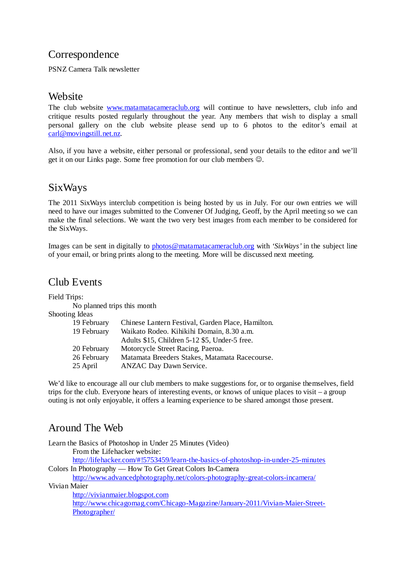# Correspondence

PSNZ Camera Talk newsletter

### **Website**

The club website [www.matamatacameraclub.org](http://www.matamatacameraclub.org/) will continue to have newsletters, club info and critique results posted regularly throughout the year. Any members that wish to display a small personal gallery on the club website please send up to 6 photos to the editor's email at [carl@movingstill.net.nz.](mailto:carl@movingstill.net.nz)

Also, if you have a website, either personal or professional, send your details to the editor and we'll get it on our Links page. Some free promotion for our club members  $\odot$ .

# SixWays

The 2011 SixWays interclub competition is being hosted by us in July. For our own entries we will need to have our images submitted to the Convener Of Judging, Geoff, by the April meeting so we can make the final selections. We want the two very best images from each member to be considered for the SixWays.

Images can be sent in digitally to [photos@matamatacameraclub.org](mailto:photos@matamatacameraclub.org) with *'SixWays'* in the subject line of your email, or bring prints along to the meeting. More will be discussed next meeting.

## Club Events

Field Trips:

No planned trips this month

#### Shooting Ideas

| 19 February | Chinese Lantern Festival, Garden Place, Hamilton. |
|-------------|---------------------------------------------------|
| 19 February | Waikato Rodeo. Kihikihi Domain, 8.30 a.m.         |
|             | Adults \$15, Children 5-12 \$5, Under-5 free.     |
| 20 February | Motorcycle Street Racing, Paeroa.                 |
| 26 February | Matamata Breeders Stakes, Matamata Racecourse.    |
| 25 April    | <b>ANZAC Day Dawn Service.</b>                    |
|             |                                                   |

We'd like to encourage all our club members to make suggestions for, or to organise themselves, field trips for the club. Everyone hears of interesting events, or knows of unique places to visit – a group outing is not only enjoyable, it offers a learning experience to be shared amongst those present.

# Around The Web

Learn the Basics of Photoshop in Under 25 Minutes (Video) From the Lifehacker website: <http://lifehacker.com/#!5753459/learn-the-basics-of-photoshop-in-under-25-minutes> Colors In Photography — How To Get Great Colors In-Camera <http://www.advancedphotography.net/colors-photography-great-colors-incamera/> Vivian Maier [http://vivianmaier.blogspot.com](http://vivianmaier.blogspot.com/)  [http://www.chicagomag.com/Chicago-Magazine/January-2011/Vivian-Maier-Street-](http://www.chicagomag.com/Chicago-Magazine/January-2011/Vivian-Maier-Street-Photographer/)

[Photographer/](http://www.chicagomag.com/Chicago-Magazine/January-2011/Vivian-Maier-Street-Photographer/)